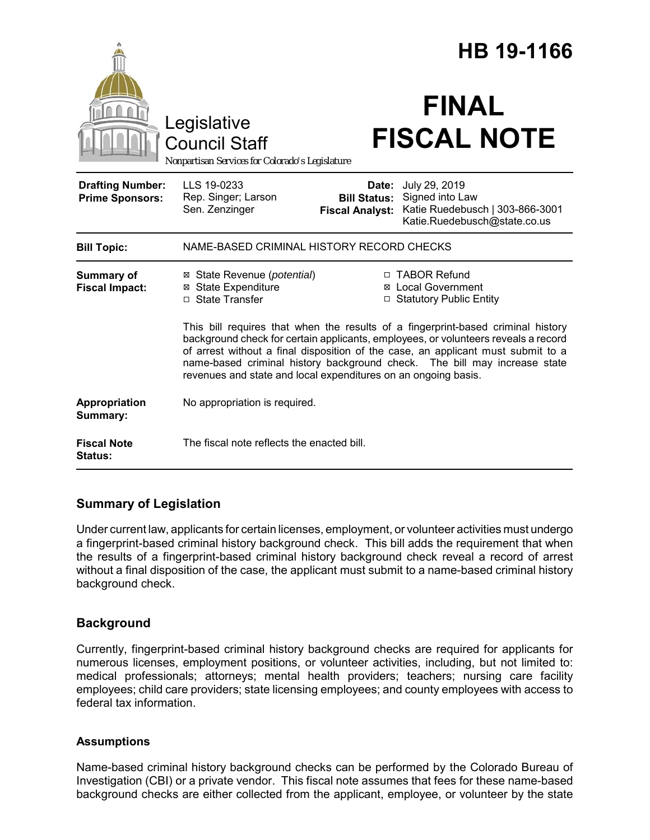|                                                   |                                                                                                                                                                                                                                                                                                                                                                                                           |                                                        | HB 19-1166                                                                                          |
|---------------------------------------------------|-----------------------------------------------------------------------------------------------------------------------------------------------------------------------------------------------------------------------------------------------------------------------------------------------------------------------------------------------------------------------------------------------------------|--------------------------------------------------------|-----------------------------------------------------------------------------------------------------|
|                                                   | Legislative<br><b>Council Staff</b><br>Nonpartisan Services for Colorado's Legislature                                                                                                                                                                                                                                                                                                                    |                                                        | <b>FINAL</b><br><b>FISCAL NOTE</b>                                                                  |
| <b>Drafting Number:</b><br><b>Prime Sponsors:</b> | LLS 19-0233<br>Rep. Singer; Larson<br>Sen. Zenzinger                                                                                                                                                                                                                                                                                                                                                      | Date:<br><b>Bill Status:</b><br><b>Fiscal Analyst:</b> | July 29, 2019<br>Signed into Law<br>Katie Ruedebusch   303-866-3001<br>Katie.Ruedebusch@state.co.us |
| <b>Bill Topic:</b>                                | NAME-BASED CRIMINAL HISTORY RECORD CHECKS                                                                                                                                                                                                                                                                                                                                                                 |                                                        |                                                                                                     |
| <b>Summary of</b><br><b>Fiscal Impact:</b>        | ⊠ State Revenue ( <i>potential</i> )<br><b>⊠ State Expenditure</b><br>□ State Transfer                                                                                                                                                                                                                                                                                                                    |                                                        | □ TABOR Refund<br>⊠ Local Government<br>□ Statutory Public Entity                                   |
|                                                   | This bill requires that when the results of a fingerprint-based criminal history<br>background check for certain applicants, employees, or volunteers reveals a record<br>of arrest without a final disposition of the case, an applicant must submit to a<br>name-based criminal history background check. The bill may increase state<br>revenues and state and local expenditures on an ongoing basis. |                                                        |                                                                                                     |
| Appropriation<br>Summary:                         | No appropriation is required.                                                                                                                                                                                                                                                                                                                                                                             |                                                        |                                                                                                     |
| <b>Fiscal Note</b><br><b>Status:</b>              | The fiscal note reflects the enacted bill.                                                                                                                                                                                                                                                                                                                                                                |                                                        |                                                                                                     |

# **Summary of Legislation**

Under current law, applicants for certain licenses, employment, or volunteer activities must undergo a fingerprint-based criminal history background check. This bill adds the requirement that when the results of a fingerprint-based criminal history background check reveal a record of arrest without a final disposition of the case, the applicant must submit to a name-based criminal history background check.

# **Background**

Currently, fingerprint-based criminal history background checks are required for applicants for numerous licenses, employment positions, or volunteer activities, including, but not limited to: medical professionals; attorneys; mental health providers; teachers; nursing care facility employees; child care providers; state licensing employees; and county employees with access to federal tax information.

### **Assumptions**

Name-based criminal history background checks can be performed by the Colorado Bureau of Investigation (CBI) or a private vendor. This fiscal note assumes that fees for these name-based background checks are either collected from the applicant, employee, or volunteer by the state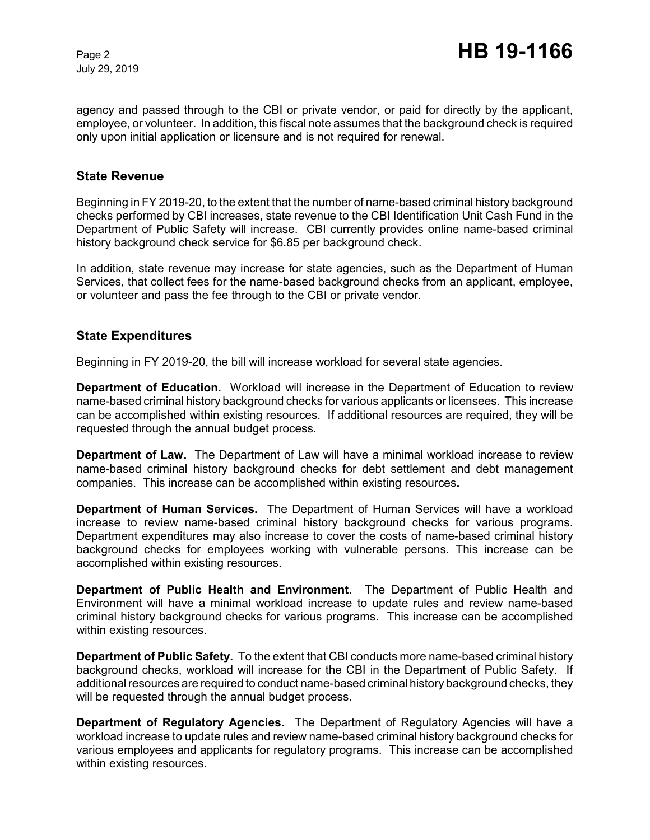July 29, 2019

agency and passed through to the CBI or private vendor, or paid for directly by the applicant, employee, or volunteer. In addition, this fiscal note assumes that the background check is required only upon initial application or licensure and is not required for renewal.

#### **State Revenue**

Beginning in FY 2019-20, to the extent that the number of name-based criminal history background checks performed by CBI increases, state revenue to the CBI Identification Unit Cash Fund in the Department of Public Safety will increase. CBI currently provides online name-based criminal history background check service for \$6.85 per background check.

In addition, state revenue may increase for state agencies, such as the Department of Human Services, that collect fees for the name-based background checks from an applicant, employee, or volunteer and pass the fee through to the CBI or private vendor.

### **State Expenditures**

Beginning in FY 2019-20, the bill will increase workload for several state agencies.

**Department of Education.** Workload will increase in the Department of Education to review name-based criminal history background checks for various applicants or licensees. This increase can be accomplished within existing resources.If additional resources are required, they will be requested through the annual budget process.

**Department of Law.** The Department of Law will have a minimal workload increase to review name-based criminal history background checks for debt settlement and debt management companies. This increase can be accomplished within existing resources**.**

**Department of Human Services.** The Department of Human Services will have a workload increase to review name-based criminal history background checks for various programs. Department expenditures may also increase to cover the costs of name-based criminal history background checks for employees working with vulnerable persons. This increase can be accomplished within existing resources.

**Department of Public Health and Environment.** The Department of Public Health and Environment will have a minimal workload increase to update rules and review name-based criminal history background checks for various programs. This increase can be accomplished within existing resources.

**Department of Public Safety.** To the extent that CBI conducts more name-based criminal history background checks, workload will increase for the CBI in the Department of Public Safety. If additional resources are required to conduct name-based criminal history background checks, they will be requested through the annual budget process.

**Department of Regulatory Agencies.** The Department of Regulatory Agencies will have a workload increase to update rules and review name-based criminal history background checks for various employees and applicants for regulatory programs. This increase can be accomplished within existing resources.